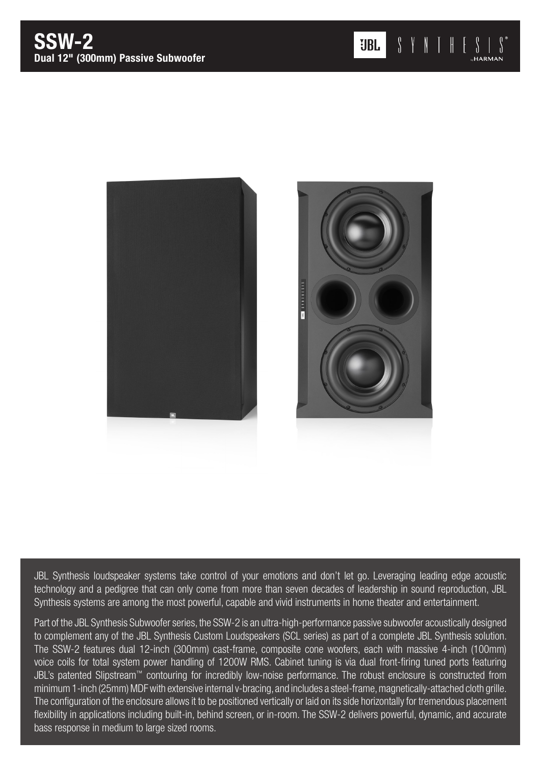

JBL Synthesis loudspeaker systems take control of your emotions and don't let go. Leveraging leading edge acoustic technology and a pedigree that can only come from more than seven decades of leadership in sound reproduction, JBL Synthesis systems are among the most powerful, capable and vivid instruments in home theater and entertainment.

Part of the JBL Synthesis Subwoofer series, the SSW-2 is an ultra-high-performance passive subwoofer acoustically designed to complement any of the JBL Synthesis Custom Loudspeakers (SCL series) as part of a complete JBL Synthesis solution. The SSW-2 features dual 12-inch (300mm) cast-frame, composite cone woofers, each with massive 4-inch (100mm) voice coils for total system power handling of 1200W RMS. Cabinet tuning is via dual front-firing tuned ports featuring JBL's patented Slipstream™ contouring for incredibly low-noise performance. The robust enclosure is constructed from minimum 1-inch (25mm) MDF with extensive internal v-bracing, and includes a steel-frame, magnetically-attached cloth grille. The configuration of the enclosure allows it to be positioned vertically or laid on its side horizontally for tremendous placement flexibility in applications including built-in, behind screen, or in-room. The SSW-2 delivers powerful, dynamic, and accurate bass response in medium to large sized rooms.